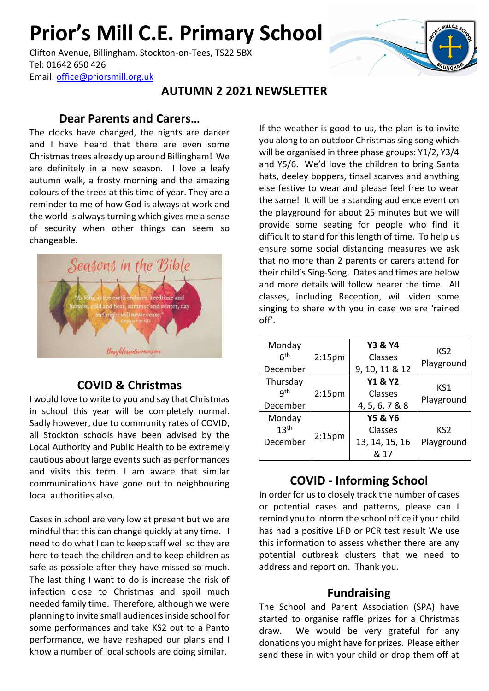# **Prior's Mill C.E. Primary School**

Clifton Avenue, Billingham. Stockton-on-Tees, TS22 5BX Tel: 01642 650 426 Email: [office@priorsmill.org.uk](mailto:office@priorsmill.org.uk)

#### **AUTUMN 2 2021 NEWSLETTER**

#### **Dear Parents and Carers…**

The clocks have changed, the nights are darker and I have heard that there are even some Christmas trees already up around Billingham! We are definitely in a new season. I love a leafy autumn walk, a frosty morning and the amazing colours of the trees at this time of year. They are a reminder to me of how God is always at work and the world is always turning which gives me a sense of security when other things can seem so changeable.



#### **COVID & Christmas**

I would love to write to you and say that Christmas in school this year will be completely normal. Sadly however, due to community rates of COVID, all Stockton schools have been advised by the Local Authority and Public Health to be extremely cautious about large events such as performances and visits this term. I am aware that similar communications have gone out to neighbouring local authorities also.

Cases in school are very low at present but we are mindful that this can change quickly at any time. I need to do what I can to keep staff well so they are here to teach the children and to keep children as safe as possible after they have missed so much. The last thing I want to do is increase the risk of infection close to Christmas and spoil much needed family time. Therefore, although we were planning to invite small audiences inside school for some performances and take KS2 out to a Panto performance, we have reshaped our plans and I know a number of local schools are doing similar.

If the weather is good to us, the plan is to invite you along to an outdoor Christmas sing song which will be organised in three phase groups: Y1/2, Y3/4 and Y5/6. We'd love the children to bring Santa hats, deeley boppers, tinsel scarves and anything else festive to wear and please feel free to wear the same! It will be a standing audience event on the playground for about 25 minutes but we will provide some seating for people who find it difficult to stand for this length of time. To help us ensure some social distancing measures we ask that no more than 2 parents or carers attend for their child's Sing-Song. Dates and times are below and more details will follow nearer the time. All classes, including Reception, will video some singing to share with you in case we are 'rained off'.

| Monday<br>6 <sup>th</sup><br>December  | 2:15 <sub>pm</sub> | <b>Y3 &amp; Y4</b><br>Classes<br>9, 10, 11 & 12         | KS <sub>2</sub><br>Playground |
|----------------------------------------|--------------------|---------------------------------------------------------|-------------------------------|
| Thursday<br>qth<br>December            | 2:15 <sub>pm</sub> | <b>Y1 &amp; Y2</b><br>Classes<br>4, 5, 6, 7 & 8         | KS1<br>Playground             |
| Monday<br>13 <sup>th</sup><br>December | 2:15 <sub>pm</sub> | <b>Y5 &amp; Y6</b><br>Classes<br>13, 14, 15, 16<br>& 17 | KS <sub>2</sub><br>Playground |

# **COVID - Informing School**

In order for us to closely track the number of cases or potential cases and patterns, please can I remind you to inform the school office if your child has had a positive LFD or PCR test result We use this information to assess whether there are any potential outbreak clusters that we need to address and report on. Thank you.

#### **Fundraising**

The School and Parent Association (SPA) have started to organise raffle prizes for a Christmas draw. We would be very grateful for any donations you might have for prizes. Please either send these in with your child or drop them off at